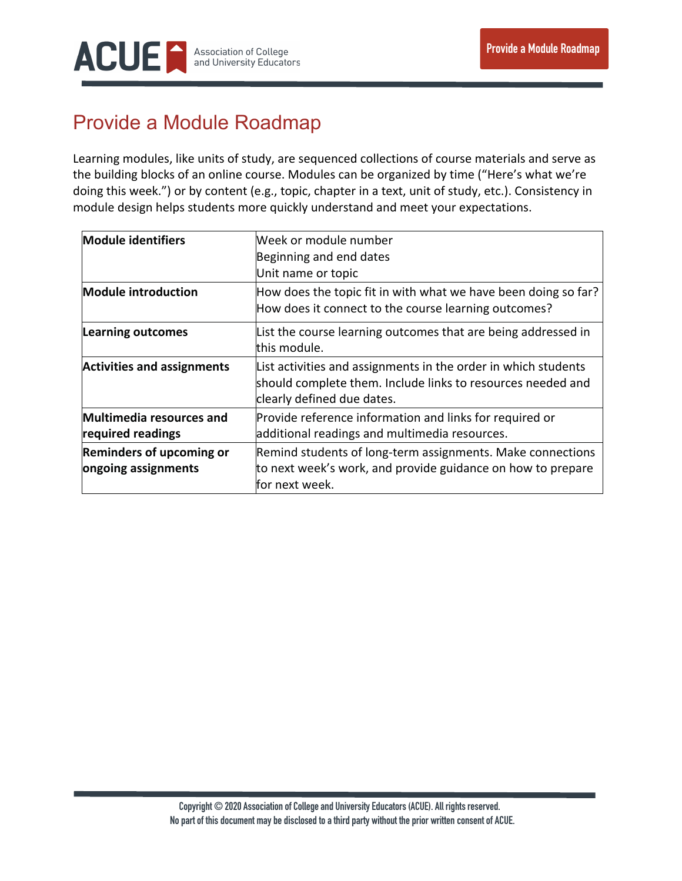

## Provide a Module Roadmap

Learning modules, like units of study, are sequenced collections of course materials and serve as the building blocks of an online course. Modules can be organized by time ("Here's what we're doing this week.") or by content (e.g., topic, chapter in a text, unit of study, etc.). Consistency in module design helps students more quickly understand and meet your expectations.

| <b>Module identifiers</b>                       | Week or module number                                                                                                                                       |
|-------------------------------------------------|-------------------------------------------------------------------------------------------------------------------------------------------------------------|
|                                                 | Beginning and end dates                                                                                                                                     |
|                                                 | Unit name or topic                                                                                                                                          |
| <b>Module introduction</b>                      | How does the topic fit in with what we have been doing so far?<br>How does it connect to the course learning outcomes?                                      |
| <b>Learning outcomes</b>                        | List the course learning outcomes that are being addressed in<br>this module.                                                                               |
| <b>Activities and assignments</b>               | List activities and assignments in the order in which students<br>should complete them. Include links to resources needed and<br>clearly defined due dates. |
| Multimedia resources and<br>required readings   | Provide reference information and links for required or<br>additional readings and multimedia resources.                                                    |
| Reminders of upcoming or<br>ongoing assignments | Remind students of long-term assignments. Make connections<br>to next week's work, and provide guidance on how to prepare<br>for next week.                 |